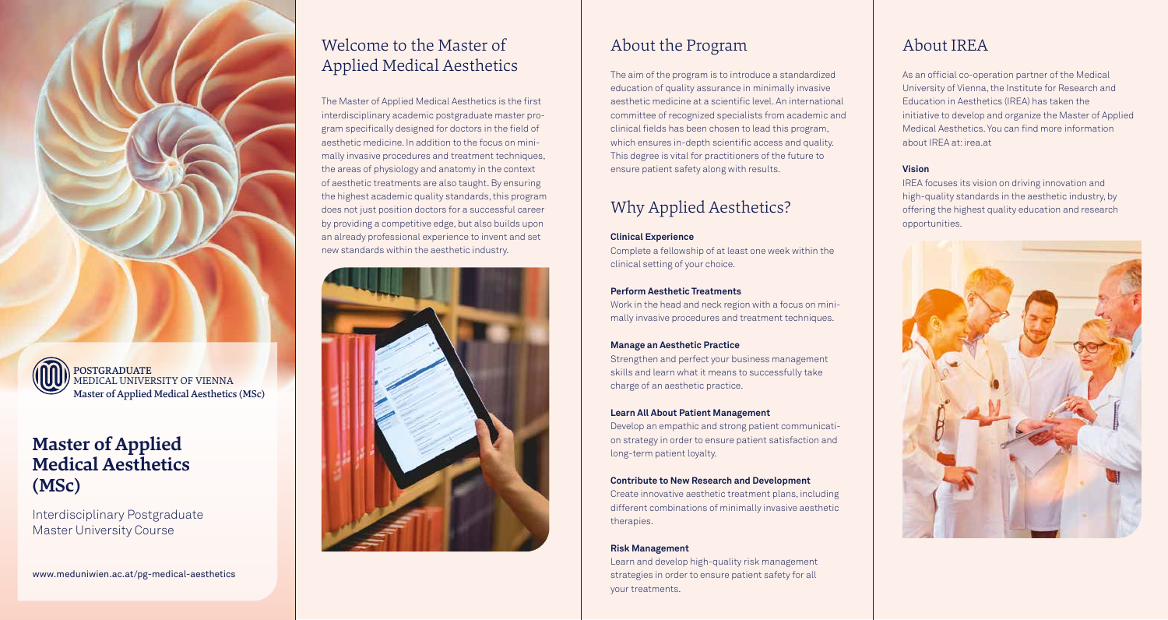

POSTGRADUATE MEDICAL UNIVERSITY OF VIENNA Master of Applied Medical Aesthetics (MSc)

# **Master of Applied Medical Aesthetics (MSc)**

Interdisciplinary Postgraduate Master University Course

www.meduniwien.ac.at/pg-medical-aesthetics

# Welcome to the Master of Applied Medical Aesthetics

The Master of Applied Medical Aesthetics is the first interdisciplinary academic postgraduate master program specifically designed for doctors in the field of aesthetic medicine. In addition to the focus on minimally invasive procedures and treatment techniques, the areas of physiology and anatomy in the context of aesthetic treatments are also taught. By ensuring the highest academic quality standards, this program does not just position doctors for a successful career by providing a competitive edge, but also builds upon an already professional experience to invent and set new standards within the aesthetic industry.



# About the Program

The aim of the program is to introduce a standardized education of quality assurance in minimally invasive aesthetic medicine at a scientific level. An international committee of recognized specialists from academic and clinical fields has been chosen to lead this program, which ensures in-depth scientific access and quality. This degree is vital for practitioners of the future to ensure patient safety along with results.

# Why Applied Aesthetics?

#### **Clinical Experience**

Complete a fellowship of at least one week within the clinical setting of your choice.

#### **Perform Aesthetic Treatments**

Work in the head and neck region with a focus on minimally invasive procedures and treatment techniques.

### **Manage an Aesthetic Practice**

Strengthen and perfect your business management skills and learn what it means to successfully take charge of an aesthetic practice.

#### **Learn All About Patient Management**

Develop an empathic and strong patient communication strategy in order to ensure patient satisfaction and long-term patient loyalty.

### **Contribute to New Research and Development**

Create innovative aesthetic treatment plans, including different combinations of minimally invasive aesthetic therapies.

#### **Risk Management**

Learn and develop high-quality risk management strategies in order to ensure patient safety for all your treatments.

# About IREA

As an official co-operation partner of the Medical University of Vienna, the Institute for Research and Education in Aesthetics (IREA) has taken the initiative to develop and organize the Master of Applied Medical Aesthetics. You can find more information about IREA at: irea.at

### **Vision**

IREA focuses its vision on driving innovation and high-quality standards in the aesthetic industry, by offering the highest quality education and research opportunities.